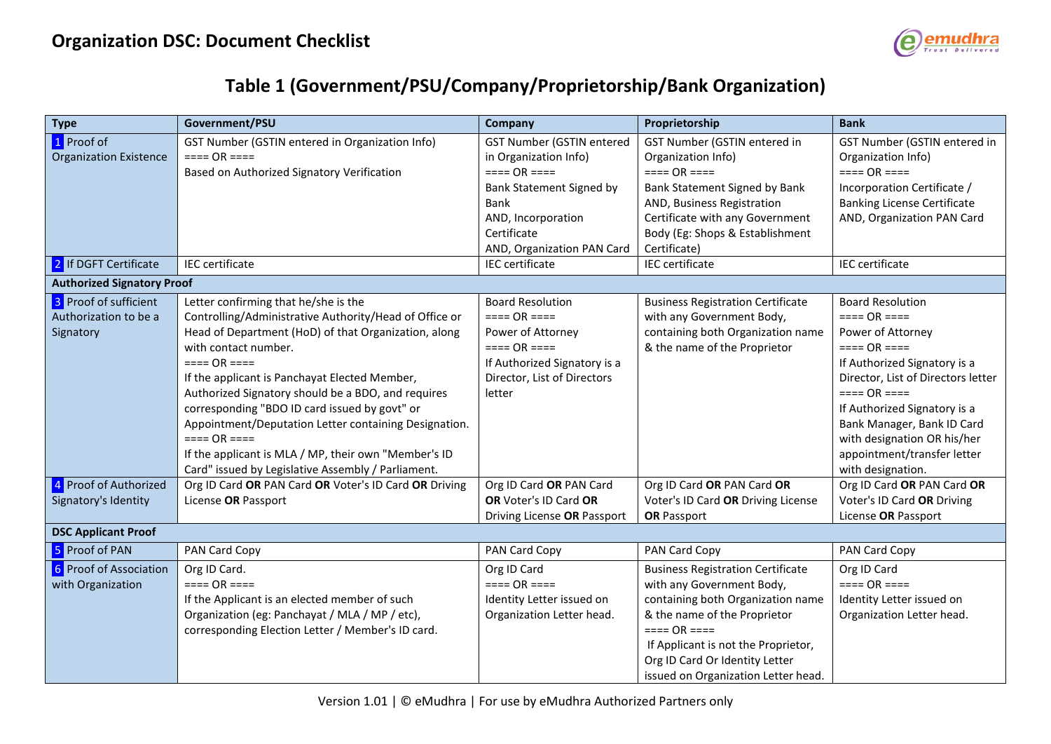

## **Table 1 (Government/PSU/Company/Proprietorship/Bank Organization)**

| <b>Type</b>                                                 | Government/PSU                                                                                                                                                                                                                                                                                                                                                                                                                                                                                                                              | <b>Company</b>                                                                                                                                                                  | Proprietorship                                                                                                                                                                                                                                                            | <b>Bank</b>                                                                                                                                                                                                                                                                                                      |  |  |
|-------------------------------------------------------------|---------------------------------------------------------------------------------------------------------------------------------------------------------------------------------------------------------------------------------------------------------------------------------------------------------------------------------------------------------------------------------------------------------------------------------------------------------------------------------------------------------------------------------------------|---------------------------------------------------------------------------------------------------------------------------------------------------------------------------------|---------------------------------------------------------------------------------------------------------------------------------------------------------------------------------------------------------------------------------------------------------------------------|------------------------------------------------------------------------------------------------------------------------------------------------------------------------------------------------------------------------------------------------------------------------------------------------------------------|--|--|
| 1 Proof of<br><b>Organization Existence</b>                 | GST Number (GSTIN entered in Organization Info)<br>$===OR ===$<br>Based on Authorized Signatory Verification                                                                                                                                                                                                                                                                                                                                                                                                                                | <b>GST Number (GSTIN entered</b><br>in Organization Info)<br>$===OR ===$<br>Bank Statement Signed by<br>Bank<br>AND, Incorporation<br>Certificate<br>AND, Organization PAN Card | GST Number (GSTIN entered in<br>Organization Info)<br>$===OR ===$<br>Bank Statement Signed by Bank<br>AND, Business Registration<br>Certificate with any Government<br>Body (Eg: Shops & Establishment<br>Certificate)                                                    | GST Number (GSTIN entered in<br>Organization Info)<br>$=== OR ==$<br>Incorporation Certificate /<br><b>Banking License Certificate</b><br>AND, Organization PAN Card                                                                                                                                             |  |  |
| 2 If DGFT Certificate                                       | <b>IEC</b> certificate                                                                                                                                                                                                                                                                                                                                                                                                                                                                                                                      | <b>IEC</b> certificate                                                                                                                                                          | <b>IEC</b> certificate                                                                                                                                                                                                                                                    | <b>IEC</b> certificate                                                                                                                                                                                                                                                                                           |  |  |
| <b>Authorized Signatory Proof</b>                           |                                                                                                                                                                                                                                                                                                                                                                                                                                                                                                                                             |                                                                                                                                                                                 |                                                                                                                                                                                                                                                                           |                                                                                                                                                                                                                                                                                                                  |  |  |
| 3 Proof of sufficient<br>Authorization to be a<br>Signatory | Letter confirming that he/she is the<br>Controlling/Administrative Authority/Head of Office or<br>Head of Department (HoD) of that Organization, along<br>with contact number.<br>$=== OR ==$<br>If the applicant is Panchayat Elected Member,<br>Authorized Signatory should be a BDO, and requires<br>corresponding "BDO ID card issued by govt" or<br>Appointment/Deputation Letter containing Designation.<br>$===OR ===$<br>If the applicant is MLA / MP, their own "Member's ID<br>Card" issued by Legislative Assembly / Parliament. | <b>Board Resolution</b><br>$===OR ===$<br>Power of Attorney<br>$===OR ===$<br>If Authorized Signatory is a<br>Director, List of Directors<br>letter                             | <b>Business Registration Certificate</b><br>with any Government Body,<br>containing both Organization name<br>& the name of the Proprietor                                                                                                                                | <b>Board Resolution</b><br>$=== OR ==$<br>Power of Attorney<br>$=== OR ==$<br>If Authorized Signatory is a<br>Director, List of Directors letter<br>$===OR ===$<br>If Authorized Signatory is a<br>Bank Manager, Bank ID Card<br>with designation OR his/her<br>appointment/transfer letter<br>with designation. |  |  |
| 4 Proof of Authorized<br>Signatory's Identity               | Org ID Card OR PAN Card OR Voter's ID Card OR Driving<br>License OR Passport                                                                                                                                                                                                                                                                                                                                                                                                                                                                | Org ID Card OR PAN Card<br>OR Voter's ID Card OR<br>Driving License OR Passport                                                                                                 | Org ID Card OR PAN Card OR<br>Voter's ID Card OR Driving License<br><b>OR Passport</b>                                                                                                                                                                                    | Org ID Card OR PAN Card OR<br>Voter's ID Card OR Driving<br>License OR Passport                                                                                                                                                                                                                                  |  |  |
| <b>DSC Applicant Proof</b>                                  |                                                                                                                                                                                                                                                                                                                                                                                                                                                                                                                                             |                                                                                                                                                                                 |                                                                                                                                                                                                                                                                           |                                                                                                                                                                                                                                                                                                                  |  |  |
| 5 Proof of PAN                                              | PAN Card Copy                                                                                                                                                                                                                                                                                                                                                                                                                                                                                                                               | PAN Card Copy                                                                                                                                                                   | PAN Card Copy                                                                                                                                                                                                                                                             | PAN Card Copy                                                                                                                                                                                                                                                                                                    |  |  |
| 6 Proof of Association<br>with Organization                 | Org ID Card.<br>$===OR ===$<br>If the Applicant is an elected member of such<br>Organization (eg: Panchayat / MLA / MP / etc),<br>corresponding Election Letter / Member's ID card.                                                                                                                                                                                                                                                                                                                                                         | Org ID Card<br>$===OR ===$<br>Identity Letter issued on<br>Organization Letter head.                                                                                            | <b>Business Registration Certificate</b><br>with any Government Body,<br>containing both Organization name<br>& the name of the Proprietor<br>$=== OR ==$<br>If Applicant is not the Proprietor,<br>Org ID Card Or Identity Letter<br>issued on Organization Letter head. | Org ID Card<br>$=== OR ==$<br>Identity Letter issued on<br>Organization Letter head.                                                                                                                                                                                                                             |  |  |